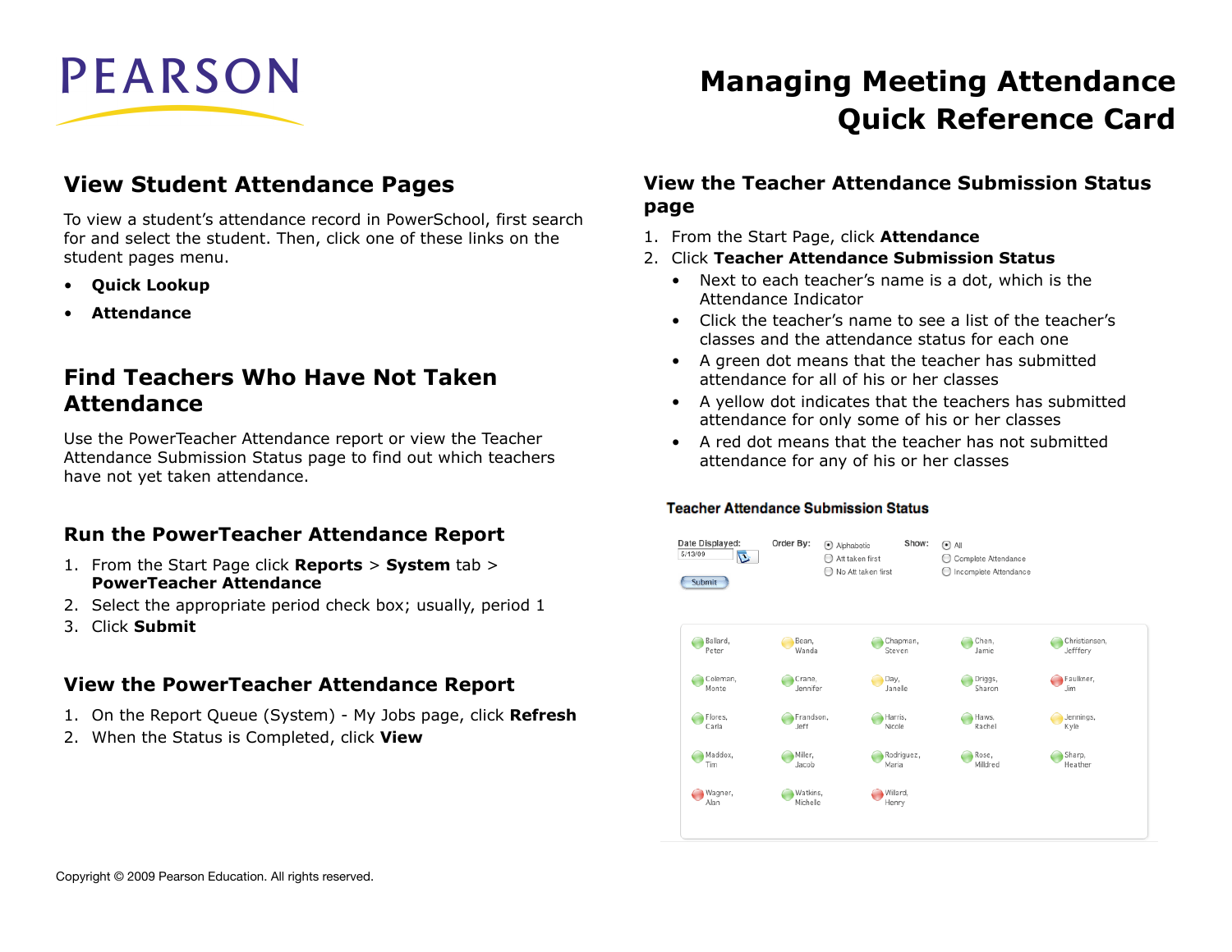# **PEARSON**

# **View Student Attendance Pages**

To view a student's attendance record in PowerSchool, first search for and select the student. Then, click one of these links on the student pages menu.

- **Quick Lookup**
- **Attendance**

# **Find Teachers Who Have Not Taken Attendance**

Use the PowerTeacher Attendance report or view the Teacher Attendance Submission Status page to find out which teachers have not yet taken attendance.

### **Run the PowerTeacher Attendance Report**

- 1. From the Start Page click **Reports** > **System** tab > **PowerTeacher Attendance**
- 2. Select the appropriate period check box; usually, period 1
- 3. Click **Submit**

### **View the PowerTeacher Attendance Report**

- 1. On the Report Queue (System) My Jobs page, click **Refresh**
- 2. When the Status is Completed, click **View**

# **Managing Meeting Attendance Quick Reference Card**

### **View the Teacher Attendance Submission Status page**

- 1. From the Start Page, click **Attendance**
- 2. Click **Teacher Attendance Submission Status**
	- Next to each teacher's name is a dot, which is the Attendance Indicator
	- Click the teacher's name to see a list of the teacher's classes and the attendance status for each one
	- A green dot means that the teacher has submitted attendance for all of his or her classes
	- A yellow dot indicates that the teachers has submitted attendance for only some of his or her classes
	- A red dot means that the teacher has not submitted attendance for any of his or her classes

#### **Teacher Attendance Submission Status**

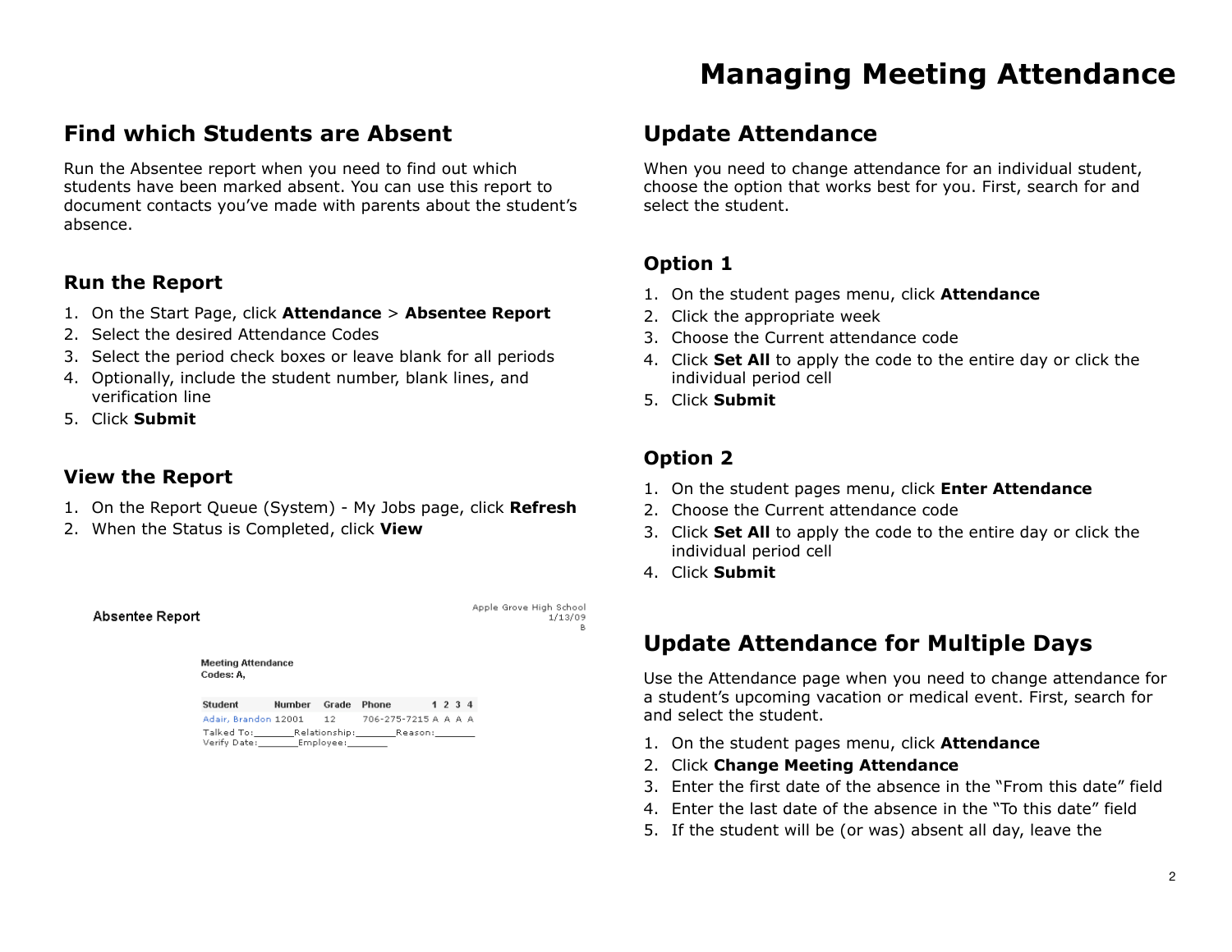# **Find which Students are Absent**

Run the Absentee report when you need to find out which students have been marked absent. You can use this report to document contacts you've made with parents about the student's absence.

### **Run the Report**

- 1. On the Start Page, click **Attendance** > **Absentee Report**
- 2. Select the desired Attendance Codes
- 3. Select the period check boxes or leave blank for all periods
- 4. Optionally, include the student number, blank lines, and verification line
- 5. Click **Submit**

### **View the Report**

Absentee Report

- 1. On the Report Queue (System) My Jobs page, click **Refresh**
- 2. When the Status is Completed, click **View**

**Manufine Affrontonic** 

Apple Grove High School 1/13/09

| <b>MCCHIN WATCHTRONG</b><br>Codes: A,                              |               |       |                                         |  |         |  |
|--------------------------------------------------------------------|---------------|-------|-----------------------------------------|--|---------|--|
| <b>Student</b>                                                     | <b>Number</b> | Grade | <b>Phone</b>                            |  | 1 2 3 4 |  |
| Adair, Brandon 12001                                               |               | 12    | 706-275-7215 A A A A                    |  |         |  |
| Talked To: Talked To:<br>Verify Date: _________ Employee: ________ |               |       | Relationship:__________Reason:_________ |  |         |  |

# **Update Attendance**

When you need to change attendance for an individual student, choose the option that works best for you. First, search for and select the student.

### **Option 1**

- 1. On the student pages menu, click **Attendance**
- 2. Click the appropriate week
- 3. Choose the Current attendance code
- 4. Click **Set All** to apply the code to the entire day or click the individual period cell
- 5. Click **Submit**

### **Option 2**

- 1. On the student pages menu, click **Enter Attendance**
- 2. Choose the Current attendance code
- 3. Click **Set All** to apply the code to the entire day or click the individual period cell
- 4. Click **Submit**

# **Update Attendance for Multiple Days**

Use the Attendance page when you need to change attendance for a student's upcoming vacation or medical event. First, search for and select the student.

- 1. On the student pages menu, click **Attendance**
- 2. Click **Change Meeting Attendance**
- 3. Enter the first date of the absence in the "From this date" field
- 4. Enter the last date of the absence in the "To this date" field
- 5. If the student will be (or was) absent all day, leave the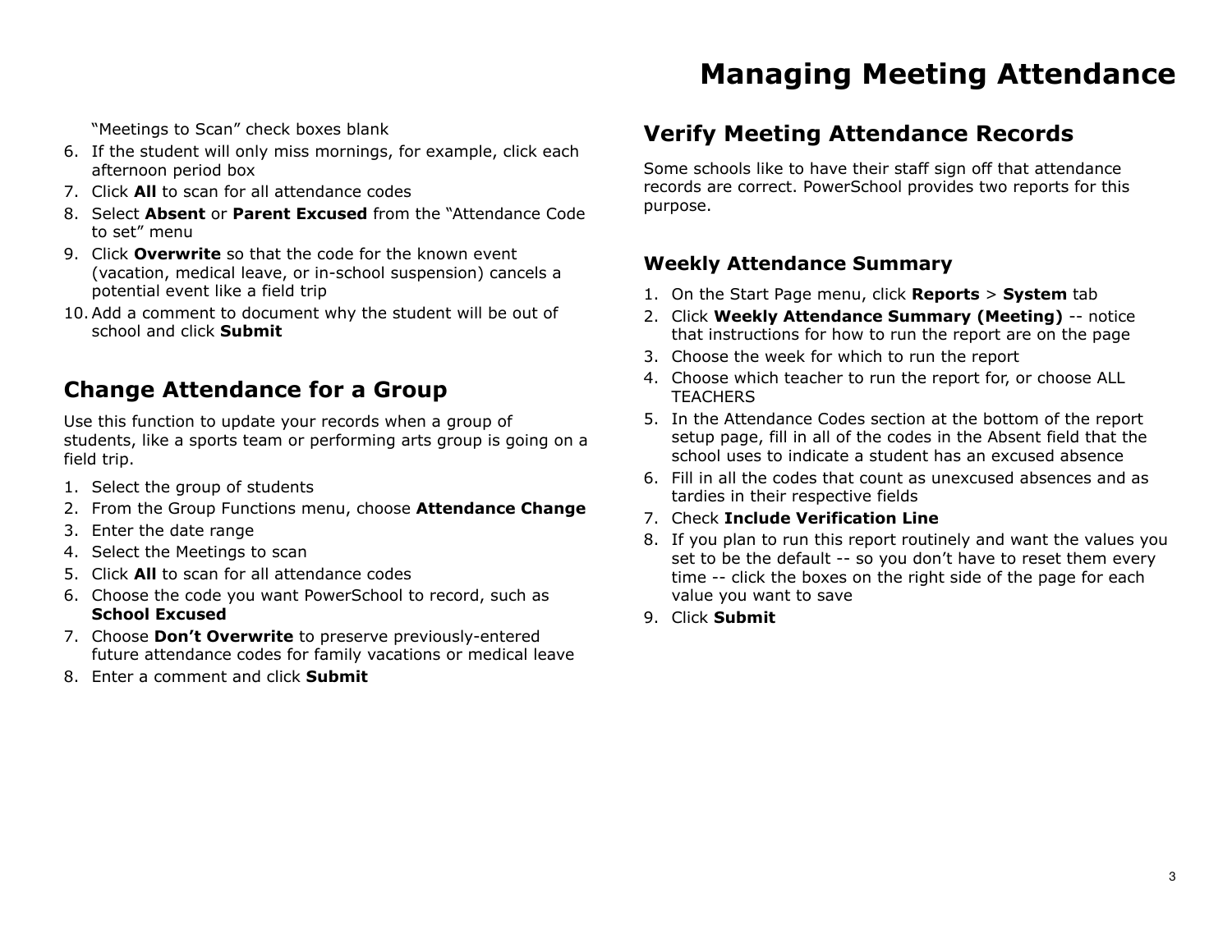"Meetings to Scan" check boxes blank

- 6. If the student will only miss mornings, for example, click each afternoon period box
- 7. Click **All** to scan for all attendance codes
- 8. Select **Absent** or **Parent Excused** from the "Attendance Code to set" menu
- 9. Click **Overwrite** so that the code for the known event (vacation, medical leave, or in-school suspension) cancels a potential event like a field trip
- 10.Add a comment to document why the student will be out of school and click **Submit**

# **Change Attendance for a Group**

Use this function to update your records when a group of students, like a sports team or performing arts group is going on a field trip.

- 1. Select the group of students
- 2. From the Group Functions menu, choose **Attendance Change**
- 3. Enter the date range
- 4. Select the Meetings to scan
- 5. Click **All** to scan for all attendance codes
- 6. Choose the code you want PowerSchool to record, such as **School Excused**
- 7. Choose **Don't Overwrite** to preserve previously-entered future attendance codes for family vacations or medical leave
- 8. Enter a comment and click **Submit**

# **Verify Meeting Attendance Records**

Some schools like to have their staff sign off that attendance records are correct. PowerSchool provides two reports for this purpose.

### **Weekly Attendance Summary**

- 1. On the Start Page menu, click **Reports** > **System** tab
- 2. Click **Weekly Attendance Summary (Meeting)** -- notice that instructions for how to run the report are on the page
- 3. Choose the week for which to run the report
- 4. Choose which teacher to run the report for, or choose ALL **TEACHERS**
- 5. In the Attendance Codes section at the bottom of the report setup page, fill in all of the codes in the Absent field that the school uses to indicate a student has an excused absence
- 6. Fill in all the codes that count as unexcused absences and as tardies in their respective fields
- 7. Check **Include Verification Line**
- 8. If you plan to run this report routinely and want the values you set to be the default -- so you don't have to reset them every time -- click the boxes on the right side of the page for each value you want to save
- 9. Click **Submit**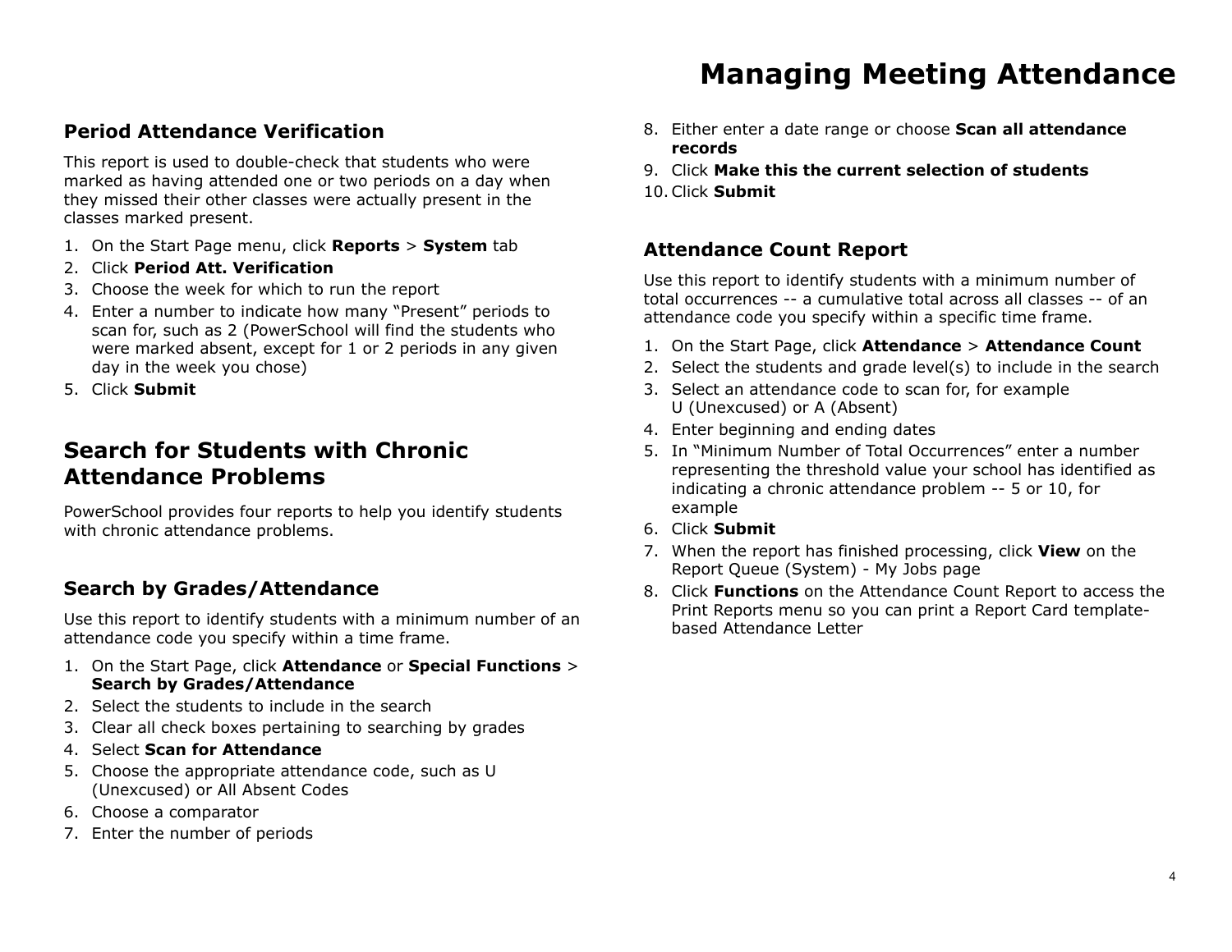### **Period Attendance Verification**

This report is used to double-check that students who were marked as having attended one or two periods on a day when they missed their other classes were actually present in the classes marked present.

- 1. On the Start Page menu, click **Reports** > **System** tab
- 2. Click **Period Att. Verification**
- 3. Choose the week for which to run the report
- 4. Enter a number to indicate how many "Present" periods to scan for, such as 2 (PowerSchool will find the students who were marked absent, except for 1 or 2 periods in any given day in the week you chose)
- 5. Click **Submit**

# **Search for Students with Chronic Attendance Problems**

PowerSchool provides four reports to help you identify students with chronic attendance problems.

### **Search by Grades/Attendance**

Use this report to identify students with a minimum number of an attendance code you specify within a time frame.

- 1. On the Start Page, click **Attendance** or **Special Functions** > **Search by Grades/Attendance**
- 2. Select the students to include in the search
- 3. Clear all check boxes pertaining to searching by grades
- 4. Select **Scan for Attendance**
- 5. Choose the appropriate attendance code, such as U (Unexcused) or All Absent Codes
- 6. Choose a comparator
- 7. Enter the number of periods
- 8. Either enter a date range or choose **Scan all attendance records**
- 9. Click **Make this the current selection of students**
- 10.Click **Submit**

### **Attendance Count Report**

Use this report to identify students with a minimum number of total occurrences -- a cumulative total across all classes -- of an attendance code you specify within a specific time frame.

- 1. On the Start Page, click **Attendance** > **Attendance Count**
- 2. Select the students and grade level(s) to include in the search
- 3. Select an attendance code to scan for, for example U (Unexcused) or A (Absent)
- 4. Enter beginning and ending dates
- 5. In "Minimum Number of Total Occurrences" enter a number representing the threshold value your school has identified as indicating a chronic attendance problem -- 5 or 10, for example
- 6. Click **Submit**
- 7. When the report has finished processing, click **View** on the Report Queue (System) - My Jobs page
- 8. Click **Functions** on the Attendance Count Report to access the Print Reports menu so you can print a Report Card templatebased Attendance Letter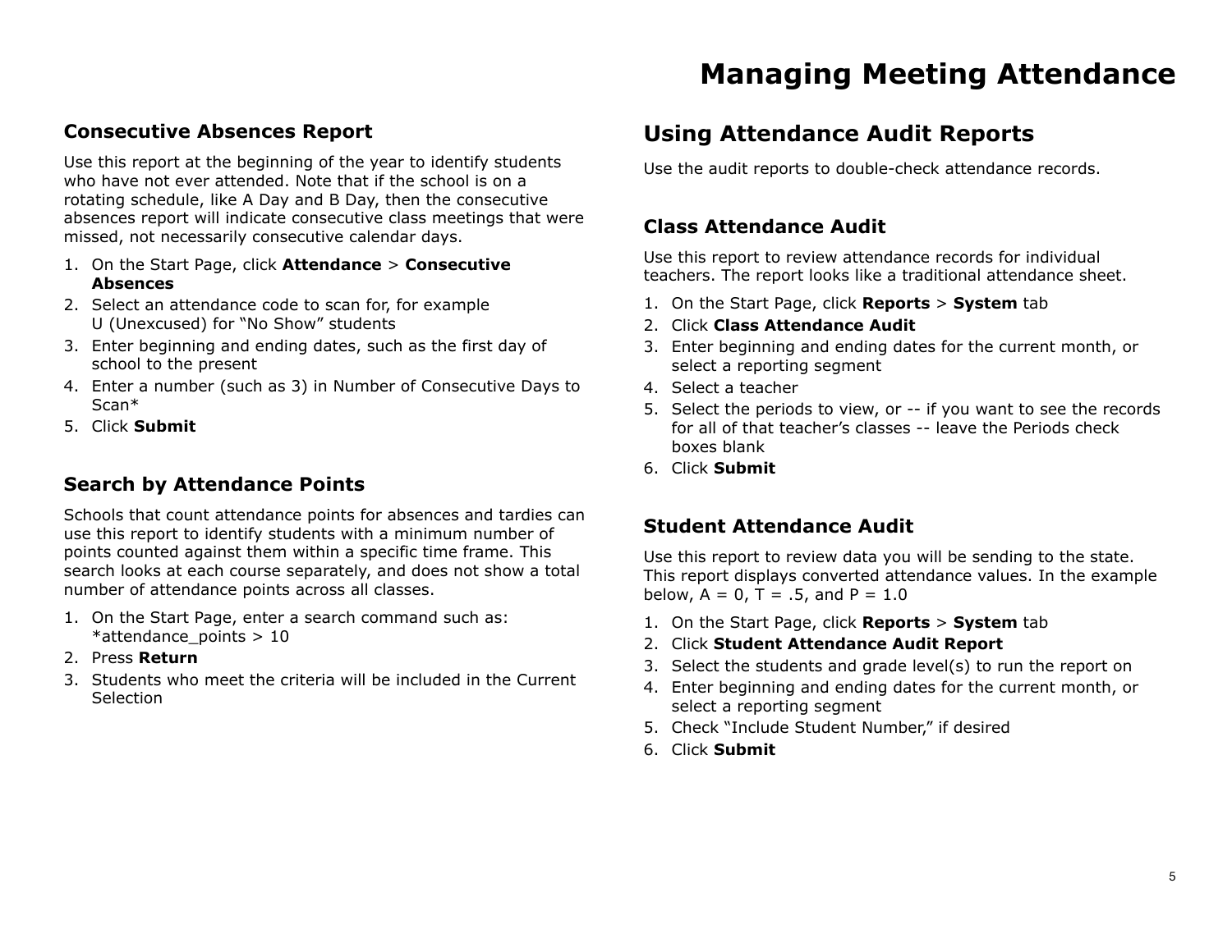### **Consecutive Absences Report**

Use this report at the beginning of the year to identify students who have not ever attended. Note that if the school is on a rotating schedule, like A Day and B Day, then the consecutive absences report will indicate consecutive class meetings that were missed, not necessarily consecutive calendar days.

- 1. On the Start Page, click **Attendance** > **Consecutive Absences**
- 2. Select an attendance code to scan for, for example U (Unexcused) for "No Show" students
- 3. Enter beginning and ending dates, such as the first day of school to the present
- 4. Enter a number (such as 3) in Number of Consecutive Days to Scan\*
- 5. Click **Submit**

### **Search by Attendance Points**

Schools that count attendance points for absences and tardies can use this report to identify students with a minimum number of points counted against them within a specific time frame. This search looks at each course separately, and does not show a total number of attendance points across all classes.

- 1. On the Start Page, enter a search command such as: \*attendance\_points > 10
- 2. Press **Return**
- 3. Students who meet the criteria will be included in the Current Selection

# **Using Attendance Audit Reports**

Use the audit reports to double-check attendance records.

### **Class Attendance Audit**

Use this report to review attendance records for individual teachers. The report looks like a traditional attendance sheet.

- 1. On the Start Page, click **Reports** > **System** tab
- 2. Click **Class Attendance Audit**
- 3. Enter beginning and ending dates for the current month, or select a reporting segment
- 4. Select a teacher
- 5. Select the periods to view, or -- if you want to see the records for all of that teacher's classes -- leave the Periods check boxes blank
- 6. Click **Submit**

### **Student Attendance Audit**

Use this report to review data you will be sending to the state. This report displays converted attendance values. In the example below,  $A = 0$ ,  $T = .5$ , and  $P = 1.0$ 

- 1. On the Start Page, click **Reports** > **System** tab
- 2. Click **Student Attendance Audit Report**
- 3. Select the students and grade level(s) to run the report on
- 4. Enter beginning and ending dates for the current month, or select a reporting segment
- 5. Check "Include Student Number," if desired
- 6. Click **Submit**